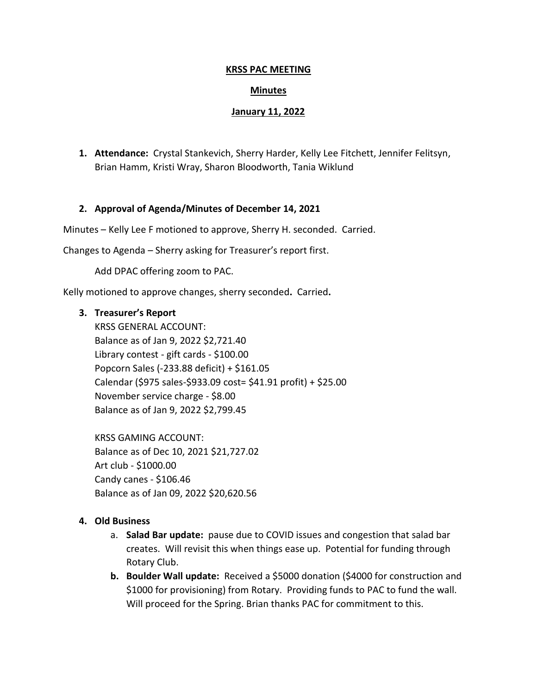## **KRSS PAC MEETING**

## **Minutes**

### **January 11, 2022**

**1. Attendance:** Crystal Stankevich, Sherry Harder, Kelly Lee Fitchett, Jennifer Felitsyn, Brian Hamm, Kristi Wray, Sharon Bloodworth, Tania Wiklund

## **2. Approval of Agenda/Minutes of December 14, 2021**

Minutes – Kelly Lee F motioned to approve, Sherry H. seconded. Carried.

Changes to Agenda – Sherry asking for Treasurer's report first.

Add DPAC offering zoom to PAC.

Kelly motioned to approve changes, sherry seconded**.** Carried**.**

## **3. Treasurer's Report**

KRSS GENERAL ACCOUNT: Balance as of Jan 9, 2022 \$2,721.40 Library contest - gift cards - \$100.00 Popcorn Sales (-233.88 deficit) + \$161.05 Calendar (\$975 sales-\$933.09 cost= \$41.91 profit) + \$25.00 November service charge - \$8.00 Balance as of Jan 9, 2022 \$2,799.45

KRSS GAMING ACCOUNT: Balance as of Dec 10, 2021 \$21,727.02 Art club - \$1000.00 Candy canes - \$106.46 Balance as of Jan 09, 2022 \$20,620.56

## **4. Old Business**

- a. **Salad Bar update:** pause due to COVID issues and congestion that salad bar creates. Will revisit this when things ease up. Potential for funding through Rotary Club.
- **b. Boulder Wall update:** Received a \$5000 donation (\$4000 for construction and \$1000 for provisioning) from Rotary. Providing funds to PAC to fund the wall. Will proceed for the Spring. Brian thanks PAC for commitment to this.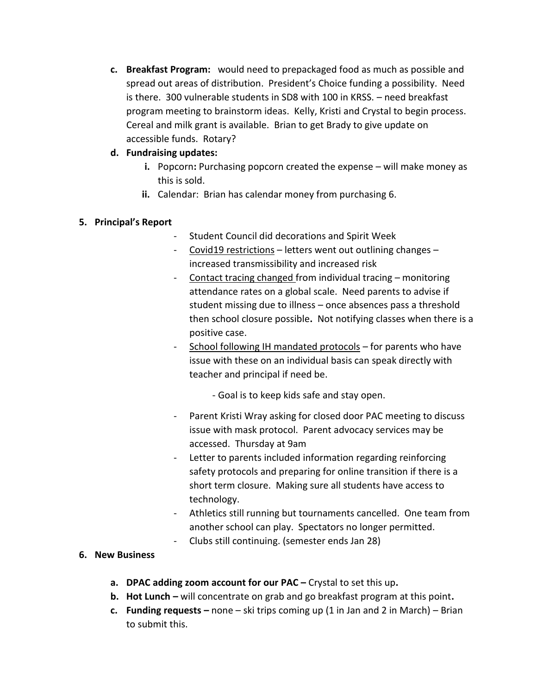- **c. Breakfast Program:** would need to prepackaged food as much as possible and spread out areas of distribution. President's Choice funding a possibility. Need is there. 300 vulnerable students in SD8 with 100 in KRSS. – need breakfast program meeting to brainstorm ideas. Kelly, Kristi and Crystal to begin process. Cereal and milk grant is available. Brian to get Brady to give update on accessible funds. Rotary?
- **d. Fundraising updates:** 
	- **i.** Popcorn**:** Purchasing popcorn created the expense will make money as this is sold.
	- **ii.** Calendar: Brian has calendar money from purchasing 6.

# **5. Principal's Report**

- Student Council did decorations and Spirit Week
- Covid19 restrictions letters went out outlining changes increased transmissibility and increased risk
- Contact tracing changed from individual tracing monitoring attendance rates on a global scale. Need parents to advise if student missing due to illness – once absences pass a threshold then school closure possible**.** Not notifying classes when there is a positive case.
- School following IH mandated protocols for parents who have issue with these on an individual basis can speak directly with teacher and principal if need be.

- Goal is to keep kids safe and stay open.

- Parent Kristi Wray asking for closed door PAC meeting to discuss issue with mask protocol. Parent advocacy services may be accessed. Thursday at 9am
- Letter to parents included information regarding reinforcing safety protocols and preparing for online transition if there is a short term closure. Making sure all students have access to technology.
- Athletics still running but tournaments cancelled. One team from another school can play. Spectators no longer permitted.
- Clubs still continuing. (semester ends Jan 28)

## **6. New Business**

- **a. DPAC adding zoom account for our PAC –** Crystal to set this up**.**
- **b. Hot Lunch –** will concentrate on grab and go breakfast program at this point**.**
- **c. Funding requests –** none ski trips coming up (1 in Jan and 2 in March) Brian to submit this.